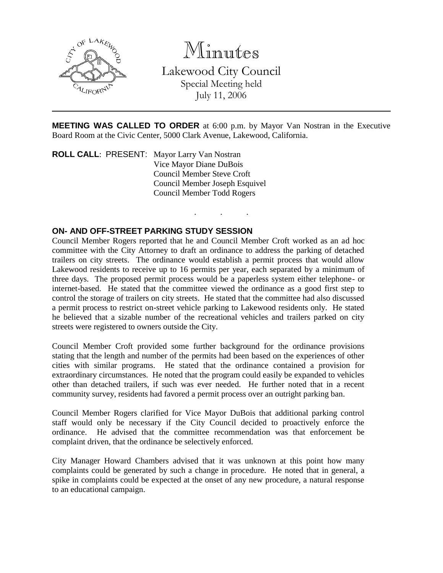

Minutes

Lakewood City Council Special Meeting held July 11, 2006

**MEETING WAS CALLED TO ORDER** at 6:00 p.m. by Mayor Van Nostran in the Executive Board Room at the Civic Center, 5000 Clark Avenue, Lakewood, California.

. . .

**ROLL CALL**: PRESENT: Mayor Larry Van Nostran Vice Mayor Diane DuBois Council Member Steve Croft Council Member Joseph Esquivel Council Member Todd Rogers

#### **ON- AND OFF-STREET PARKING STUDY SESSION**

Council Member Rogers reported that he and Council Member Croft worked as an ad hoc committee with the City Attorney to draft an ordinance to address the parking of detached trailers on city streets. The ordinance would establish a permit process that would allow Lakewood residents to receive up to 16 permits per year, each separated by a minimum of three days. The proposed permit process would be a paperless system either telephone- or internet-based. He stated that the committee viewed the ordinance as a good first step to control the storage of trailers on city streets. He stated that the committee had also discussed a permit process to restrict on-street vehicle parking to Lakewood residents only. He stated he believed that a sizable number of the recreational vehicles and trailers parked on city streets were registered to owners outside the City.

Council Member Croft provided some further background for the ordinance provisions stating that the length and number of the permits had been based on the experiences of other cities with similar programs. He stated that the ordinance contained a provision for extraordinary circumstances. He noted that the program could easily be expanded to vehicles other than detached trailers, if such was ever needed. He further noted that in a recent community survey, residents had favored a permit process over an outright parking ban.

Council Member Rogers clarified for Vice Mayor DuBois that additional parking control staff would only be necessary if the City Council decided to proactively enforce the ordinance. He advised that the committee recommendation was that enforcement be complaint driven, that the ordinance be selectively enforced.

City Manager Howard Chambers advised that it was unknown at this point how many complaints could be generated by such a change in procedure. He noted that in general, a spike in complaints could be expected at the onset of any new procedure, a natural response to an educational campaign.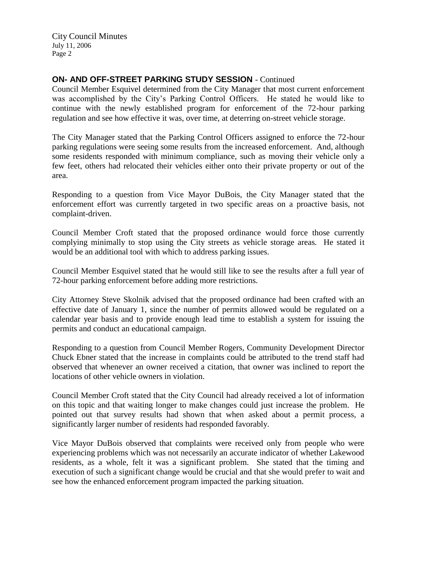City Council Minutes July 11, 2006 Page 2

### **ON- AND OFF-STREET PARKING STUDY SESSION** - Continued

Council Member Esquivel determined from the City Manager that most current enforcement was accomplished by the City's Parking Control Officers. He stated he would like to continue with the newly established program for enforcement of the 72-hour parking regulation and see how effective it was, over time, at deterring on-street vehicle storage.

The City Manager stated that the Parking Control Officers assigned to enforce the 72-hour parking regulations were seeing some results from the increased enforcement. And, although some residents responded with minimum compliance, such as moving their vehicle only a few feet, others had relocated their vehicles either onto their private property or out of the area.

Responding to a question from Vice Mayor DuBois, the City Manager stated that the enforcement effort was currently targeted in two specific areas on a proactive basis, not complaint-driven.

Council Member Croft stated that the proposed ordinance would force those currently complying minimally to stop using the City streets as vehicle storage areas. He stated it would be an additional tool with which to address parking issues.

Council Member Esquivel stated that he would still like to see the results after a full year of 72-hour parking enforcement before adding more restrictions.

City Attorney Steve Skolnik advised that the proposed ordinance had been crafted with an effective date of January 1, since the number of permits allowed would be regulated on a calendar year basis and to provide enough lead time to establish a system for issuing the permits and conduct an educational campaign.

Responding to a question from Council Member Rogers, Community Development Director Chuck Ebner stated that the increase in complaints could be attributed to the trend staff had observed that whenever an owner received a citation, that owner was inclined to report the locations of other vehicle owners in violation.

Council Member Croft stated that the City Council had already received a lot of information on this topic and that waiting longer to make changes could just increase the problem. He pointed out that survey results had shown that when asked about a permit process, a significantly larger number of residents had responded favorably.

Vice Mayor DuBois observed that complaints were received only from people who were experiencing problems which was not necessarily an accurate indicator of whether Lakewood residents, as a whole, felt it was a significant problem. She stated that the timing and execution of such a significant change would be crucial and that she would prefer to wait and see how the enhanced enforcement program impacted the parking situation.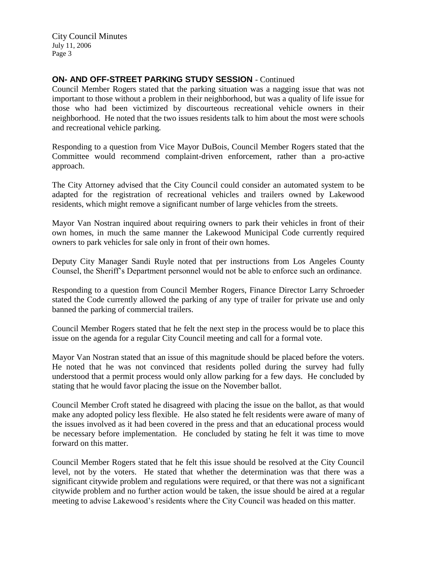City Council Minutes July 11, 2006 Page 3

### **ON- AND OFF-STREET PARKING STUDY SESSION** - Continued

Council Member Rogers stated that the parking situation was a nagging issue that was not important to those without a problem in their neighborhood, but was a quality of life issue for those who had been victimized by discourteous recreational vehicle owners in their neighborhood. He noted that the two issues residents talk to him about the most were schools and recreational vehicle parking.

Responding to a question from Vice Mayor DuBois, Council Member Rogers stated that the Committee would recommend complaint-driven enforcement, rather than a pro-active approach.

The City Attorney advised that the City Council could consider an automated system to be adapted for the registration of recreational vehicles and trailers owned by Lakewood residents, which might remove a significant number of large vehicles from the streets.

Mayor Van Nostran inquired about requiring owners to park their vehicles in front of their own homes, in much the same manner the Lakewood Municipal Code currently required owners to park vehicles for sale only in front of their own homes.

Deputy City Manager Sandi Ruyle noted that per instructions from Los Angeles County Counsel, the Sheriff's Department personnel would not be able to enforce such an ordinance.

Responding to a question from Council Member Rogers, Finance Director Larry Schroeder stated the Code currently allowed the parking of any type of trailer for private use and only banned the parking of commercial trailers.

Council Member Rogers stated that he felt the next step in the process would be to place this issue on the agenda for a regular City Council meeting and call for a formal vote.

Mayor Van Nostran stated that an issue of this magnitude should be placed before the voters. He noted that he was not convinced that residents polled during the survey had fully understood that a permit process would only allow parking for a few days. He concluded by stating that he would favor placing the issue on the November ballot.

Council Member Croft stated he disagreed with placing the issue on the ballot, as that would make any adopted policy less flexible. He also stated he felt residents were aware of many of the issues involved as it had been covered in the press and that an educational process would be necessary before implementation. He concluded by stating he felt it was time to move forward on this matter.

Council Member Rogers stated that he felt this issue should be resolved at the City Council level, not by the voters. He stated that whether the determination was that there was a significant citywide problem and regulations were required, or that there was not a significant citywide problem and no further action would be taken, the issue should be aired at a regular meeting to advise Lakewood's residents where the City Council was headed on this matter.